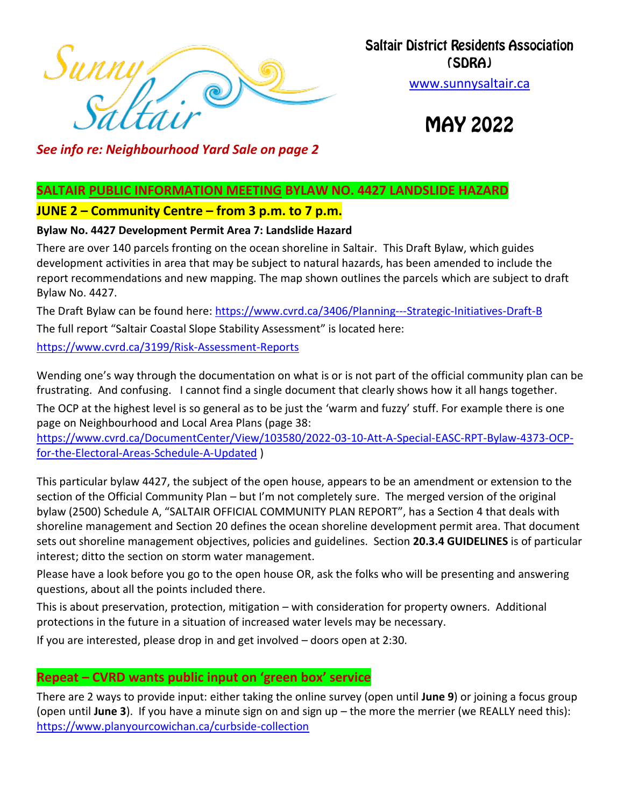

#### **Saltair District Residents Association** (SDRA)

[www.sunnysaltair.ca](http://www.sunnysaltair.c/)

**MAY 2022** 

*See info re: Neighbourhood Yard Sale on page 2*

#### **SALTAIR PUBLIC INFORMATION MEETING BYLAW NO. 4427 LANDSLIDE HAZARD**

#### **JUNE 2 – Community Centre – from 3 p.m. to 7 p.m.**

#### **Bylaw No. 4427 Development Permit Area 7: Landslide Hazard**

There are over 140 parcels fronting on the ocean shoreline in Saltair. This Draft Bylaw, which guides development activities in area that may be subject to natural hazards, has been amended to include the report recommendations and new mapping. The map shown outlines the parcels which are subject to draft Bylaw No. 4427.

The Draft Bylaw can be found here:<https://www.cvrd.ca/3406/Planning---Strategic-Initiatives-Draft-B> The full report "Saltair Coastal Slope Stability Assessment" is located here: <https://www.cvrd.ca/3199/Risk-Assessment-Reports>

Wending one's way through the documentation on what is or is not part of the official community plan can be frustrating. And confusing. I cannot find a single document that clearly shows how it all hangs together.

The OCP at the highest level is so general as to be just the 'warm and fuzzy' stuff. For example there is one page on Neighbourhood and Local Area Plans (page 38:

[https://www.cvrd.ca/DocumentCenter/View/103580/2022-03-10-Att-A-Special-EASC-RPT-Bylaw-4373-OCP](https://www.cvrd.ca/DocumentCenter/View/103580/2022-03-10-Att-A-Special-EASC-RPT-Bylaw-4373-OCP-for-the-Electoral-Areas-Schedule-A-Updated)[for-the-Electoral-Areas-Schedule-A-Updated](https://www.cvrd.ca/DocumentCenter/View/103580/2022-03-10-Att-A-Special-EASC-RPT-Bylaw-4373-OCP-for-the-Electoral-Areas-Schedule-A-Updated) )

This particular bylaw 4427, the subject of the open house, appears to be an amendment or extension to the section of the Official Community Plan – but I'm not completely sure. The merged version of the original bylaw (2500) Schedule A, "SALTAIR OFFICIAL COMMUNITY PLAN REPORT", has a Section 4 that deals with shoreline management and Section 20 defines the ocean shoreline development permit area. That document sets out shoreline management objectives, policies and guidelines. Section **20.3.4 GUIDELINES** is of particular interest; ditto the section on storm water management.

Please have a look before you go to the open house OR, ask the folks who will be presenting and answering questions, about all the points included there.

This is about preservation, protection, mitigation – with consideration for property owners. Additional protections in the future in a situation of increased water levels may be necessary.

If you are interested, please drop in and get involved – doors open at 2:30.

#### **Repeat – CVRD wants public input on 'green box' service**

There are 2 ways to provide input: either taking the online survey (open until **June 9**) or joining a focus group (open until **June 3**). If you have a minute sign on and sign up – the more the merrier (we REALLY need this): <https://www.planyourcowichan.ca/curbside-collection>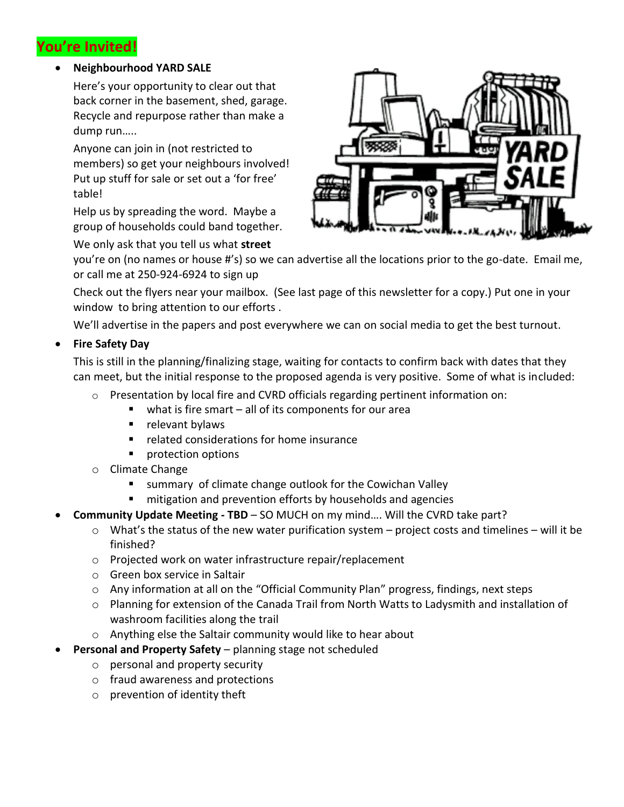### **You're Invited!**

#### **Neighbourhood YARD SALE**

Here's your opportunity to clear out that back corner in the basement, shed, garage. Recycle and repurpose rather than make a dump run…..

Anyone can join in (not restricted to members) so get your neighbours involved! Put up stuff for sale or set out a 'for free' table!

Help us by spreading the word. Maybe a group of households could band together.

We only ask that you tell us what **street**



you're on (no names or house #'s) so we can advertise all the locations prior to the go-date. Email me, or call me at 250-924-6924 to sign up

Check out the flyers near your mailbox. (See last page of this newsletter for a copy.) Put one in your window to bring attention to our efforts.

We'll advertise in the papers and post everywhere we can on social media to get the best turnout.

**Fire Safety Day**

This is still in the planning/finalizing stage, waiting for contacts to confirm back with dates that they can meet, but the initial response to the proposed agenda is very positive. Some of what is included:

- $\circ$  Presentation by local fire and CVRD officials regarding pertinent information on:
	- $\blacksquare$  what is fire smart all of its components for our area
	- $\blacksquare$  relevant bylaws
	- **F** related considerations for home insurance
	- **protection options**
- o Climate Change
	- summary of climate change outlook for the Cowichan Valley
	- **numitivariation and prevention efforts by households and agencies**
- **Community Update Meeting - TBD** SO MUCH on my mind…. Will the CVRD take part?
	- $\circ$  What's the status of the new water purification system project costs and timelines will it be finished?
	- o Projected work on water infrastructure repair/replacement
	- o Green box service in Saltair
	- $\circ$  Any information at all on the "Official Community Plan" progress, findings, next steps
	- o Planning for extension of the Canada Trail from North Watts to Ladysmith and installation of washroom facilities along the trail
	- o Anything else the Saltair community would like to hear about
- **Personal and Property Safety** planning stage not scheduled
	- o personal and property security
	- o fraud awareness and protections
	- o prevention of identity theft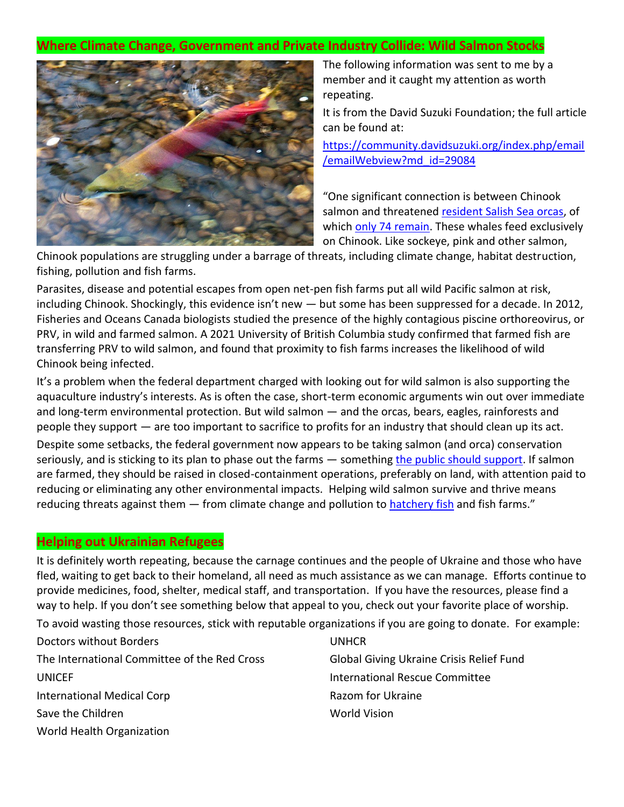#### **Where Climate Change, Government and Private Industry Collide: Wild Salmon Stocks**



The following information was sent to me by a member and it caught my attention as worth repeating.

It is from the David Suzuki Foundation; the full article can be found at:

[https://community.davidsuzuki.org/index.php/email](https://community.davidsuzuki.org/index.php/email/emailWebview?md_id=29084) [/emailWebview?md\\_id=29084](https://community.davidsuzuki.org/index.php/email/emailWebview?md_id=29084)

"One significant connection is between Chinook salmon and threatened [resident Salish Sea orcas,](https://go.davidsuzuki.org/ol/h0hZccPJdlhd6BYus8q9F_q7z3iRKMn_4vEwRKW_gpdqlFhsfeiCdQy724oCTNQ_du6XBV9AVZRoxFEIXPObIdAG__xZVk-6XTL9hajUN61JfLV60I9i8KXjzWkB94zWwAqaWR1IQ3lpZw2ufLJ91WWzYchwCEWC4m_TNNpl2m4,/j0BVcczMLFlNoVdlsbPWJqj7ljHTb4K9sLUzBuXhndg22Fwza-PadULuhp5VE901YP3TFQ1dGJ5u10FMEuXYb4FM8-ZVRlK3WXbwkqLbfMIRfL9n49Vu9PWI7GdRhuu4t2r_WVUgSlBNRSe6TJABpWTRMsBwby2O2FOSIa4k0Qc6ouoT2r6IU7K7q3G0xlDR4mDdLgN118rOx0-9P59iuOMt7XQg4EkfKMSn-xT-8u0RoyoU4dlhwDtD0Ot1LMFRwzrRThfG5sL_Zc09d-e6xvervvcNQxw9gw,,) of which [only 74 remain.](https://go.davidsuzuki.org/ol/h0hZdcfGdlhd6BYus8q9F_q7z3iRKMn_4vEwRKW_gpdqlFhsfeiCdQy724oCTNQ_du6XBV9AVZRoxFEIXPObIdAG__xZVk-6XTL9hajUN61JfLV60I9i8KXjzWkB94zWwAqaWR1IQ3lpZw2ufLJ91WmwYMl0B0WC4m_TNNpl2m4,/j0xWcM3II1lNoVdlsbPWNb760SLIe5StqbluDPb00cdw2kdzPfzAKB7ig8duCJ05OMSqBlY8JapE9j8IAM6fXaFh29J4JGCTAQ390PLqQYRsWedn9cYs0JqCj3cJhv6sk1OcC1s9VGZiMVWHO7cTj2jKI5EQWQukzleTAIMrhRFdoewc96ubLIe-91y0wFKLyxmoI1Zx7Pi4wwSsP7xo1tArmhIRulhwaLn06RHrwLYt) These whales feed exclusively on Chinook. Like sockeye, pink and other salmon,

Chinook populations are struggling under a barrage of threats, including climate change, habitat destruction, fishing, pollution and fish farms.

Parasites, disease and potential escapes from open net-pen fish farms put all wild Pacific salmon at risk, including Chinook. Shockingly, this evidence isn't new — but some has been suppressed for a decade. In 2012, Fisheries and Oceans Canada biologists studied the presence of the highly contagious piscine orthoreovirus, or PRV, in wild and farmed salmon. A 2021 University of British Columbia study confirmed that farmed fish are transferring PRV to wild salmon, and found that proximity to fish farms increases the likelihood of wild Chinook being infected.

It's a problem when the federal department charged with looking out for wild salmon is also supporting the aquaculture industry's interests. As is often the case, short-term economic arguments win out over immediate and long-term environmental protection. But wild salmon — and the orcas, bears, eagles, rainforests and people they support — are too important to sacrifice to profits for an industry that should clean up its act.

Despite some setbacks, the federal government now appears to be taking salmon (and orca) conservation seriously, and is sticking to its plan to phase out the farms – something [the public should support.](https://go.davidsuzuki.org/ol/h0hZdMfGdlhd6BYus8q9F_q7z3iRKMn_4vEwRKW_gpdqlFhsfeiCdQy724oCTNQ_du6XBV9AVZRoxFEIXPObIdAG__xZVk-6XTL9hajUN61JfLV60I9i8KXjzWkB94zWwAqaWR1IQ3lpZw2ufLJ91WWzZch6D0WC4m_TNNpl2m4,/j0BVdczGK1lNoVdlsbPWJqj7ljHTb4K9sLUzBuXhnc49zUFxfKPcLVH_h8FFUZ0iYOfTDwcEXoBkzkFeE_OdMYZB6PgQG0mzSz6yj7TOINJDeqBMyM5qooWR3zQpnOenpG-cE2EEYVBNRSG4Rp4B3QvlYMMTcQql0ijVHIBusxov0qoI-rGFfLzk-WeT4VPIuWaUZllO75S2-V2PCpFJr_tTikUs8WlzWbHuwgz3k4gvpQkvwPo6qjBJ4ft-KPBLyUuZbQHhqYjSartbEL3khbvwttkFbRQ_) If salmon are farmed, they should be raised in closed-containment operations, preferably on land, with attention paid to reducing or eliminating any other environmental impacts. Helping wild salmon survive and thrive means reducing threats against them - from climate change and pollution to [hatchery fish](https://go.davidsuzuki.org/ol/h0hXd8TMdlhd6BYus8q9F_q7z3iRKMn_4vEwRKW_gpdqlFhsfeiCdQy724oCTNQ_du6XBV9AVZRoxFEIXPObIdAG__xZVk-6XTL9hajUN61JfLV60I9i8KXjzWkB94zWwAqaWR1IQ3lpZw2ufLJ91mm_YcJzDkWC4m_TNNpl2m4,/jExZccbPKllNoVdlsbPWJqj7ljHTb4K9sLUzBuXhndw90E1wcemCNETumt1YEpV_ZuyQFRAVXpFz1AVbFuXaa4lM_rhKBFO5S3b9hbLOIp5Pfbl80oxp_rym0GUXo9iR31LDRFwHTGdpdkuffLMsgSmqIpUhSgqL_nLPMsollTsAyK0LxoenfKe99H2zuhvL5yGxIF52ueyv7QiQOqNPreRRpW8uyXEHXMfTzBTmm4on-XUL2-VVpU973_s_D_tPtwSFcgfN5YCoTfxdVqK8xbHo7vUaZEsamIQdfWbyHXfhOo6QYBsk1UKUtwwIYA9kKh9OPPljtTyjqnxWf9Itb3ikqwwhiWgL8PtsjIGupHaTYlzGPSr2) and fish farms."

#### **Helping out Ukrainian Refugees**

It is definitely worth repeating, because the carnage continues and the people of Ukraine and those who have fled, waiting to get back to their homeland, all need as much assistance as we can manage. Efforts continue to provide medicines, food, shelter, medical staff, and transportation. If you have the resources, please find a way to help. If you don't see something below that appeal to you, check out your favorite place of worship.

To avoid wasting those resources, stick with reputable organizations if you are going to donate. For example:

Doctors without Borders The International Committee of the Red Cross UNICEF International Medical Corp Save the Children World Health Organization

UNHCR Global Giving Ukraine Crisis Relief Fund International Rescue Committee Razom for Ukraine World Vision